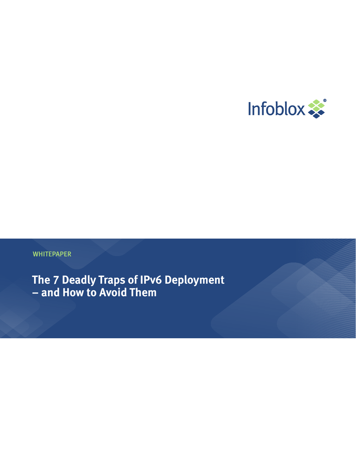

**WHITEPAPER** 

**The 7 Deadly Traps of IPv6 Deployment – and How to Avoid Them**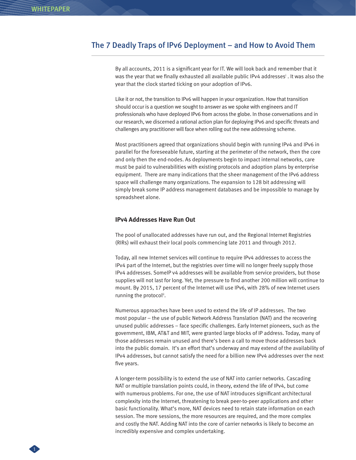1

## The 7 Deadly Traps of IPv6 Deployment – and How to Avoid Them

By all accounts, 2011 is a significant year for IT. We will look back and remember that it was the year that we finally exhausted all available public IPv4 addresses<sup>i</sup> . It was also the year that the clock started ticking on your adoption of IPv6.

Like it or not, the transition to IPv6 will happen in your organization. How that transition should occur is a question we sought to answer as we spoke with engineers and IT professionals who have deployed IPv6 from across the globe. In those conversations and in our research, we discerned a rational action plan for deploying IPv6 and specific threats and challenges any practitioner will face when rolling out the new addressing scheme.

Most practitioners agreed that organizations should begin with running IPv4 and IPv6 in parallel for the foreseeable future, starting at the perimeter of the network, then the core and only then the end-nodes. As deployments begin to impact internal networks, care must be paid to vulnerabilities with existing protocols and adoption plans by enterprise equipment. There are many indications that the sheer management of the IPv6 address space will challenge many organizations. The expansion to 128 bit addressing will simply break some IP address management databases and be impossible to manage by spreadsheet alone.

#### **IPv4 Addresses Have Run Out**

The pool of unallocated addresses have run out, and the Regional Internet Registries (RIRs) will exhaust their local pools commencing late 2011 and through 2012.

Today, all new Internet services will continue to require IPv4 addresses to access the IPv4 part of the Internet, but the registries over time will no longer freely supply those IPv4 addresses. SomeIP v4 addresses will be available from service providers, but those supplies will not last for long. Yet, the pressure to find another 200 million will continue to mount. By 2015, 17 percent of the Internet will use IPv6, with 28% of new Internet users running the protocol<sup>ii</sup>.

Numerous approaches have been used to extend the life of IP addresses. The two most popular – the use of public Network Address Translation (NAT) and the recovering unused public addresses – face specific challenges. Early Internet pioneers, such as the government, IBM, AT&T and MIT, were granted large blocks of IP address. Today, many of those addresses remain unused and there's been a call to move those addresses back into the public domain. It's an effort that's underway and may extend of the availability of IPv4 addresses, but cannot satisfy the need for a billion new IPv4 addresses over the next five years.

A longer-term possibility is to extend the use of NAT into carrier networks. Cascading NAT or multiple translation points could, in theory, extend the life of IPv4, but come with numerous problems. For one, the use of NAT introduces significant architectural complexity into the Internet, threatening to break peer-to-peer applications and other basic functionality. What's more, NAT devices need to retain state information on each session. The more sessions, the more resources are required, and the more complex and costly the NAT. Adding NAT into the core of carrier networks is likely to become an incredibly expensive and complex undertaking.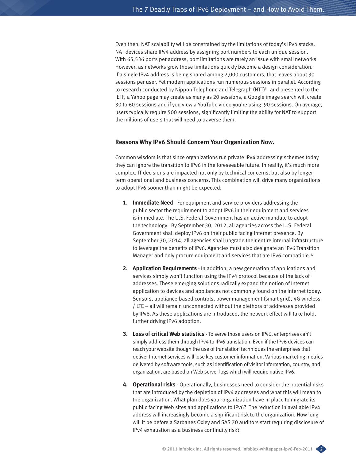Even then, NAT scalability will be constrained by the limitations of today's IPv4 stacks. NAT devices share IPv4 address by assigning port numbers to each unique session. With 65,536 ports per address, port limitations are rarely an issue with small networks. However, as networks grow those limitations quickly become a design consideration. If a single IPv4 address is being shared among 2,000 customers, that leaves about 30 sessions per user. Yet modern applications run numerous sessions in parallel. According to research conducted by Nippon Telephone and Telegraph (NTT)<sup>iii</sup> and presented to the IETF, a Yahoo page may create as many as 20 sessions, a Google image search will create 30 to 60 sessions and if you view a YouTube video you're using 90 sessions. On average, users typically require 500 sessions, significantly limiting the ability for NAT to support the millions of users that will need to traverse them.

### **Reasons Why IPv6 Should Concern Your Organization Now.**

Common wisdom is that since organizations run private IPv4 addressing schemes today they can ignore the transition to IPv6 in the foreseeable future. In reality, it's much more complex. IT decisions are impacted not only by technical concerns, but also by longer term operational and business concerns. This combination will drive many organizations to adopt IPv6 sooner than might be expected.

- **1. Immediate Need** For equipment and service providers addressing the public sector the requirement to adopt IPv6 in their equipment and services is immediate. The U.S. Federal Government has an active mandate to adopt the technology. By September 30, 2012, all agencies across the U.S. Federal Government shall deploy IPv6 on their public facing Internet presence. By September 30, 2014, all agencies shall upgrade their entire internal infrastructure to leverage the benefits of IPv6. Agencies must also designate an IPv6 Transition Manager and only procure equipment and services that are IPv6 compatible.<sup>iv</sup>
- **2. Application Requirements** In addition, a new generation of applications and services simply won't function using the IPv4 protocol because of the lack of addresses. These emerging solutions radically expand the notion of Internet application to devices and appliances not commonly found on the Internet today. Sensors, appliance-based controls, power management (smart grid), 4G wireless / LTE – all will remain unconnected without the plethora of addresses provided by IPv6. As these applications are introduced, the network effect will take hold, further driving IPv6 adoption.
- **3. Loss of critical Web statistics** To serve those users on IPv6, enterprises can't simply address them through IPv4 to IPv6 translation. Even if the IPv6 devices can reach your website though the use of translation techniques the enterprises that deliver Internet services will lose key customer information. Various marketing metrics delivered by software tools, such as identification of visitor information, country, and organization, are based on Web server logs which will require native IPv6.
- **4. Operational risks** Operationally, businesses need to consider the potential risks that are introduced by the depletion of IPv4 addresses and what this will mean to the organization. What plan does your organization have in place to migrate its public facing Web sites and applications to IPv6? The reduction in available IPv4 address will increasingly become a significant risk to the organization. How long will it be before a Sarbanes Oxley and SAS 70 auditors start requiring disclosure of IPv4 exhaustion as a business continuity risk?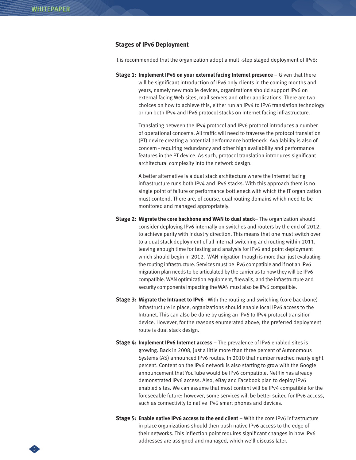3

### **Stages of IPv6 Deployment**

It is recommended that the organization adopt a multi-step staged deployment of IPv6:

**Stage 1: Implement IPv6 on your external facing Internet presence** – Given that there will be significant introduction of IPv6 only clients in the coming months and years, namely new mobile devices, organizations should support IPv6 on external facing Web sites, mail servers and other applications. There are two choices on how to achieve this, either run an IPv4 to IPv6 translation technology or run both IPv4 and IPv6 protocol stacks on Internet facing infrastructure.

> Translating between the IPv4 protocol and IPv6 protocol introduces a number of operational concerns. All traffic will need to traverse the protocol translation (PT) device creating a potential performance bottleneck. Availability is also of concern - requiring redundancy and other high availability and performance features in the PT device. As such, protocol translation introduces significant architectural complexity into the network design.

> A better alternative is a dual stack architecture where the Internet facing infrastructure runs both IPv4 and IPv6 stacks. With this approach there is no single point of failure or performance bottleneck with which the IT organization must contend. There are, of course, dual routing domains which need to be monitored and managed appropriately.

- **Stage 2: Migrate the core backbone and WAN to dual stack** The organization should consider deploying IPv6 internally on switches and routers by the end of 2012. to achieve parity with industry direction. This means that one must switch over to a dual stack deployment of all internal switching and routing within 2011, leaving enough time for testing and analysis for IPv6 end point deployment which should begin in 2012. WAN migration though is more than just evaluating the routing infrastructure. Services must be IPv6 compatible and if not an IPv6 migration plan needs to be articulated by the carrier as to how they will be IPv6 compatible. WAN optimization equipment, firewalls, and the infrastructure and security components impacting the WAN must also be IPv6 compatible.
- **Stage 3: Migrate the Intranet to IPv6**  With the routing and switching (core backbone) infrastructure in place, organizations should enable local IPv6 access to the Intranet. This can also be done by using an IPv6 to IPv4 protocol transition device. However, for the reasons enumerated above, the preferred deployment route is dual stack design.
- **Stage 4: Implement IPv6 Internet access** The prevalence of IPv6 enabled sites is growing. Back in 2008, just a little more than three percent of Autonomous Systems (AS) announced IPv6 routes. In 2010 that number reached nearly eight percent. Content on the IPv6 network is also starting to grow with the Google announcement that YouTube would be IPv6 compatible. Netflix has already demonstrated IPv6 access. Also, eBay and Facebook plan to deploy IPv6 enabled sites. We can assume that most content will be IPv4 compatible for the foreseeable future; however, some services will be better suited for IPv6 access, such as connectivity to native IPv6 smart phones and devices.
- **Stage 5: Enable native IPv6 access to the end client** With the core IPv6 infrastructure in place organizations should then push native IPv6 access to the edge of their networks. This inflection point requires significant changes in how IPv6 addresses are assigned and managed, which we'll discuss later.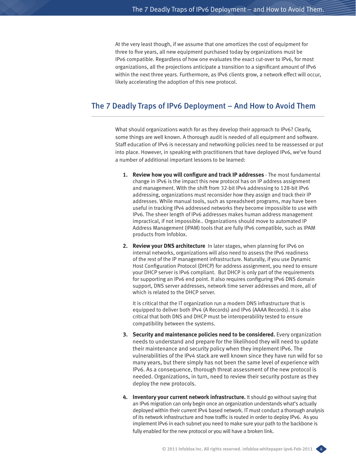At the very least though, if we assume that one amortizes the cost of equipment for three to five years, all new equipment purchased today by organizations must be IPv6 compatible. Regardless of how one evaluates the exact cut-over to IPv6, for most organizations, all the projections anticipate a transition to a significant amount of IPv6 within the next three years. Furthermore, as IPv6 clients grow, a network effect will occur, likely accelerating the adoption of this new protocol.

# The 7 Deadly Traps of IPv6 Deployment – And How to Avoid Them

What should organizations watch for as they develop their approach to IPv6? Clearly, some things are well known. A thorough audit is needed of all equipment and software. Staff education of IPv6 is necessary and networking policies need to be reassessed or put into place. However, in speaking with practitioners that have deployed IPv6, we've found a number of additional important lessons to be learned:

- **1. Review how you will configure and track IP addresses**  The most fundamental change in IPv6 is the impact this new protocol has on IP address assignment and management. With the shift from 32-bit IPv4 addressing to 128-bit IPv6 addressing, organizations must reconsider how they assign and track their IP addresses. While manual tools, such as spreadsheet programs, may have been useful in tracking IPv4 addressed networks they become impossible to use with IPv6. The sheer length of IPv6 addresses makes human address management impractical, if not impossible.. Organizations should move to automated IP Address Management (IPAM) tools that are fully IPv6 compatible, such as IPAM products from Infoblox.
- **2. Review your DNS architecture** In later stages, when planning for IPv6 on internal networks, organizations will also need to assess the IPv6 readiness of the rest of the IP management infrastructure. Naturally, if you use Dynamic Host Configuration Protocol (DHCP) for address assignment, you need to ensure your DHCP server is IPv6 compliant. But DHCP is only part of the requirements for supporting an IPv6 end point. It also requires configuring IPv6 DNS domain support, DNS server addresses, network time server addresses and more, all of which is related to the DHCP server.

It is critical that the IT organization run a modern DNS infrastructure that is equipped to deliver both IPv4 (A Records) and IPv6 (AAAA Records). It is also critical that both DNS and DHCP must be interoperability tested to ensure compatibility between the systems.

- **3. Security and maintenance policies need to be considered.** Every organization needs to understand and prepare for the likelihood they will need to update their maintenance and security policy when they implement IPv6. The vulnerabilities of the IPv4 stack are well known since they have run wild for so many years, but there simply has not been the same level of experience with IPv6. As a consequence, thorough threat assessment of the new protocol is needed. Organizations, in turn, need to review their security posture as they deploy the new protocols.
- **4. Inventory your current network infrastructure.** It should go without saying that an IPv6 migration can only begin once an organization understands what's actually deployed within their current IPv4 based network. IT must conduct a thorough analysis of its network infrastructure and how traffic is routed in order to deploy IPv6. As you implement IPv6 in each subnet you need to make sure your path to the backbone is fully enabled for the new protocol or you will have a broken link.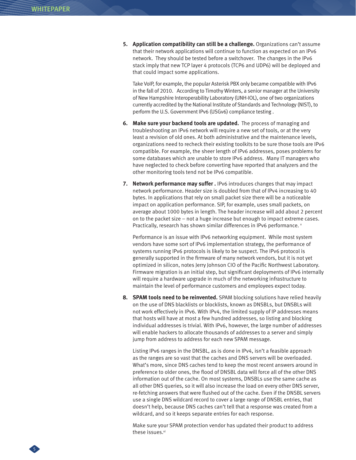**5. Application compatibility can still be a challenge.** Organizations can't assume that their network applications will continue to function as expected on an IPv6 network. They should be tested before a switchover. The changes in the IPv6 stack imply that new TCP layer 4 protocols (TCP6 and UDP6) will be deployed and that could impact some applications.

Take VoIP, for example, the popular Asterisk PBX only became compatible with IPv6 in the fall of 2010. According to Timothy Winters, a senior manager at the University of New Hampshire Interoperability Laboratory (UNH-IOL), one of two organizations currently accredited by the National Institute of Standards and Technology (NIST), to perform the U.S. Government IPv6 (USGv6) compliance testing .

- **6. Make sure your backend tools are updated.** The process of managing and troubleshooting an IPv6 network will require a new set of tools, or at the very least a revision of old ones. At both administrative and the maintenance levels, organizations need to recheck their existing toolkits to be sure those tools are IPv6 compatible. For example, the sheer length of IPv6 addresses, poses problems for some databases which are unable to store IPv6 address. Many IT managers who have neglected to check before converting have reported that analyzers and the other monitoring tools tend not be IPv6 compatible.
- **7.** Network performance may suffer . IPv6 introduces changes that may impact network performance. Header size is doubled from that of IPv4 increasing to 40 bytes. In applications that rely on small packet size there will be a noticeable impact on application performance. SIP, for example, uses small packets, on average about 1000 bytes in length. The header increase will add about 2 percent on to the packet size – not a huge increase but enough to impact extreme cases. Practically, research has shown similar differences in IPv6 performance. v

Performance is an issue with IPv6 networking equipment. While most system vendors have some sort of IPv6 implementation strategy, the performance of systems running IPv6 protocols is likely to be suspect. The IPv6 protocol is generally supported in the firmware of many network vendors, but it is not yet optimized in silicon, notes Jerry Johnson CIO of the Pacific Northwest Laboratory. Firmware migration is an initial step, but significant deployments of IPv6 internally will require a hardware upgrade in much of the networking infrastructure to maintain the level of performance customers and employees expect today.

**8. SPAM tools need to be reinvented.** SPAM blocking solutions have relied heavily on the use of DNS blacklists or blocklists, known as DNSBLs, but DNSBLs will not work effectively in IPv6. With IPv4, the limited supply of IP addresses means that hosts will have at most a few hundred addresses, so listing and blocking individual addresses is trivial. With IPv6, however, the large number of addresses will enable hackers to allocate thousands of addresses to a server and simply jump from address to address for each new SPAM message.

Listing IPv6 ranges in the DNSBL, as is done in IPv4, isn't a feasible approach as the ranges are so vast that the caches and DNS servers will be overloaded. What's more, since DNS caches tend to keep the most recent answers around in preference to older ones, the flood of DNSBL data will force all of the other DNS information out of the cache. On most systems, DNSBLs use the same cache as all other DNS queries, so it will also increase the load on every other DNS server, re-fetching answers that were flushed out of the cache. Even if the DNSBL servers use a single DNS wildcard record to cover a large range of DNSBL entries, that doesn't help, because DNS caches can't tell that a response was created from a wildcard, and so it keeps separate entries for each response.

Make sure your SPAM protection vendor has updated their product to address these issues.<sup>vi</sup>

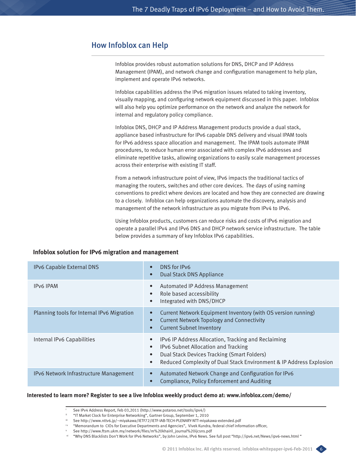## How Infoblox can Help

Infoblox provides robust automation solutions for DNS, DHCP and IP Address Management (IPAM), and network change and configuration management to help plan, implement and operate IPv6 networks.

Infoblox capabilities address the IPv6 migration issues related to taking inventory, visually mapping, and configuring network equipment discussed in this paper. Infoblox will also help you optimize performance on the network and analyze the network for internal and regulatory policy compliance.

Infoblox DNS, DHCP and IP Address Management products provide a dual stack, appliance based infrastructure for IPv6 capable DNS delivery and visual IPAM tools for IPv6 address space allocation and management. The IPAM tools automate IPAM procedures, to reduce human error associated with complex IPv6 addresses and eliminate repetitive tasks, allowing organizations to easily scale management processes across their enterprise with existing IT staff.

From a network infrastructure point of view, IPv6 impacts the traditional tactics of managing the routers, switches and other core devices. The days of using naming conventions to predict where devices are located and how they are connected are drawing to a closely. Infoblox can help organizations automate the discovery, analysis and management of the network infrastructure as you migrate from IPv4 to IPv6.

Using Infoblox products, customers can reduce risks and costs of IPv6 migration and operate a parallel IPv4 and IPv6 DNS and DHCP network service infrastructure. The table below provides a summary of key Infoblox IPv6 capabilities.

## **Infoblox solution for IPv6 migration and management**

| IPv6 Capable External DNS                  | DNS for IPv6<br>$\bullet$<br><b>Dual Stack DNS Appliance</b><br>$\bullet$                                                                                                                                                                                            |
|--------------------------------------------|----------------------------------------------------------------------------------------------------------------------------------------------------------------------------------------------------------------------------------------------------------------------|
| <b>IPv6 IPAM</b>                           | Automated IP Address Management<br>$\bullet$<br>Role based accessibility<br>$\bullet$<br>Integrated with DNS/DHCP<br>$\bullet$                                                                                                                                       |
| Planning tools for Internal IPv6 Migration | Current Network Equipment Inventory (with OS version running)<br>$\bullet$<br><b>Current Network Topology and Connectivity</b><br>$\bullet$<br><b>Current Subnet Inventory</b><br>$\bullet$                                                                          |
| Internal IPv6 Capabilities                 | IPv6 IP Address Allocation, Tracking and Reclaiming<br>$\bullet$<br>IPv6 Subnet Allocation and Tracking<br>$\bullet$<br>Dual Stack Devices Tracking (Smart Folders)<br>$\bullet$<br>Reduced Complexity of Dual Stack Environment & IP Address Explosion<br>$\bullet$ |
| IPv6 Network Infrastructure Management     | Automated Network Change and Configuration for IPv6<br>$\bullet$<br>Compliance, Policy Enforcement and Auditing<br>$\bullet$                                                                                                                                         |

#### **Interested to learn more? Register to see a live Infoblox weekly product demo at: www.infoblox.com/demo/**



See IPv4 Address Report, Feb 03,2011 (http://www.potaroo.net/tools/ipv4/)

<sup>&</sup>quot;IT Market Clock for Enterprise Networking", Gartner Group, September 1, 2010<br>See http://www.nttv6.jp/~miyakawa/IETF72/IETF-IAB-TECH-PLENARY-NTT-miyakawa-extended.pdf

iv "Memorandum to CIOs for Executive Departments and Agencies", Vivek Kundra, federal chief information officer,<br>V See http://www.ftsm.ukm.my/network/files/m%20khairil\_journal%20ijcsns.pdf

vi "Why DNS Blacklists Don't Work for IPv6 Networks", by John Levine, IPv6 News. See full post "http://ipv6.net/News/ipv6-news.html "